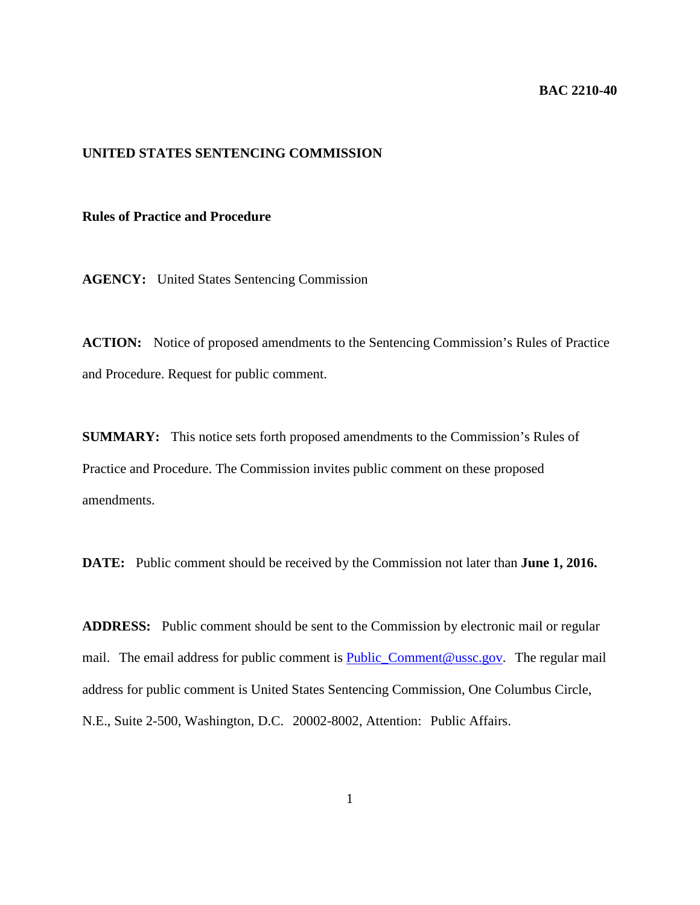#### **BAC 2210-40**

# **UNITED STATES SENTENCING COMMISSION**

## **Rules of Practice and Procedure**

**AGENCY:** United States Sentencing Commission

**ACTION:** Notice of proposed amendments to the Sentencing Commission's Rules of Practice and Procedure. Request for public comment.

**SUMMARY:** This notice sets forth proposed amendments to the Commission's Rules of Practice and Procedure. The Commission invites public comment on these proposed amendments.

**DATE:** Public comment should be received by the Commission not later than **June 1, 2016.**

**ADDRESS:** Public comment should be sent to the Commission by electronic mail or regular mail. The email address for public comment is **Public\_Comment@ussc.gov.** The regular mail address for public comment is United States Sentencing Commission, One Columbus Circle, N.E., Suite 2-500, Washington, D.C. 20002-8002, Attention: Public Affairs.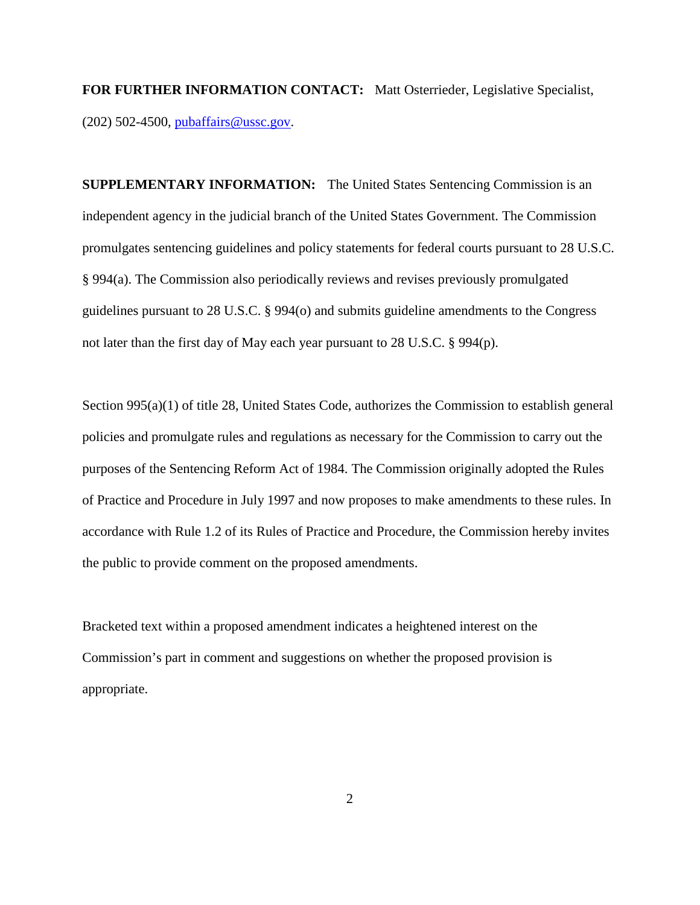**FOR FURTHER INFORMATION CONTACT:** Matt Osterrieder, Legislative Specialist, (202) 502-4500, [pubaffairs@ussc.gov.](mailto:pubaffairs@ussc.gov)

**SUPPLEMENTARY INFORMATION:** The United States Sentencing Commission is an independent agency in the judicial branch of the United States Government. The Commission promulgates sentencing guidelines and policy statements for federal courts pursuant to 28 U.S.C. § 994(a). The Commission also periodically reviews and revises previously promulgated guidelines pursuant to 28 U.S.C. § 994(o) and submits guideline amendments to the Congress not later than the first day of May each year pursuant to 28 U.S.C. § 994(p).

Section 995(a)(1) of title 28, United States Code, authorizes the Commission to establish general policies and promulgate rules and regulations as necessary for the Commission to carry out the purposes of the Sentencing Reform Act of 1984. The Commission originally adopted the Rules of Practice and Procedure in July 1997 and now proposes to make amendments to these rules. In accordance with Rule 1.2 of its Rules of Practice and Procedure, the Commission hereby invites the public to provide comment on the proposed amendments.

Bracketed text within a proposed amendment indicates a heightened interest on the Commission's part in comment and suggestions on whether the proposed provision is appropriate.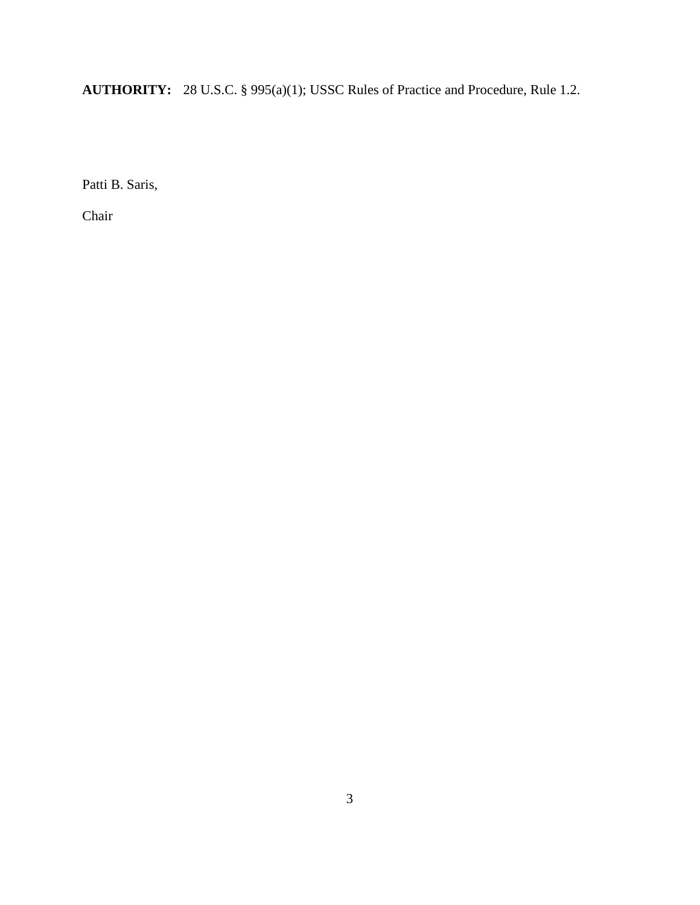**AUTHORITY:** 28 U.S.C. § 995(a)(1); USSC Rules of Practice and Procedure, Rule 1.2.

Patti B. Saris,

Chair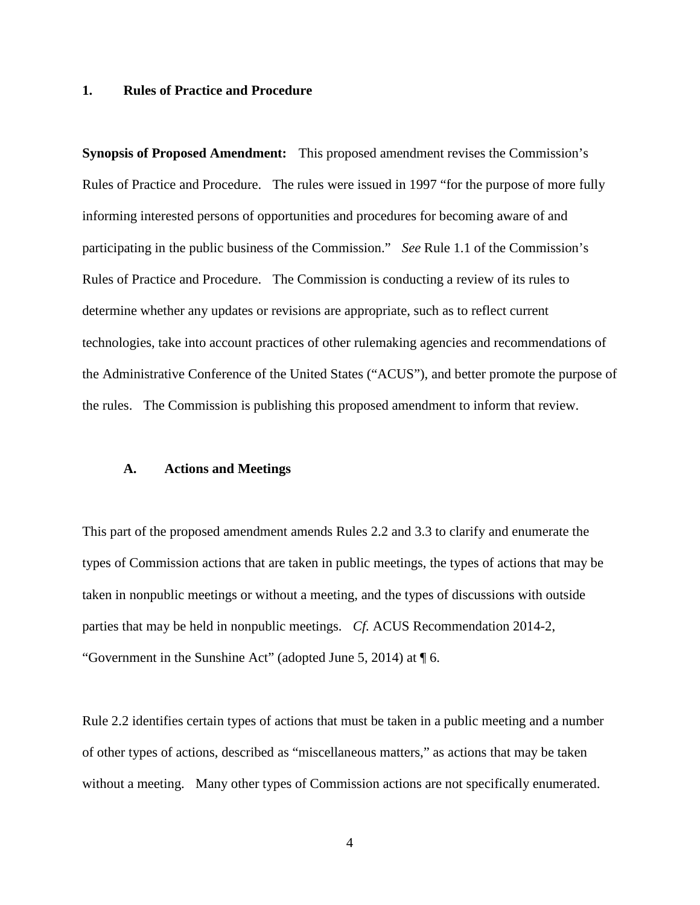#### **1. Rules of Practice and Procedure**

**Synopsis of Proposed Amendment:** This proposed amendment revises the Commission's Rules of Practice and Procedure. The rules were issued in 1997 "for the purpose of more fully informing interested persons of opportunities and procedures for becoming aware of and participating in the public business of the Commission." *See* Rule 1.1 of the Commission's Rules of Practice and Procedure. The Commission is conducting a review of its rules to determine whether any updates or revisions are appropriate, such as to reflect current technologies, take into account practices of other rulemaking agencies and recommendations of the Administrative Conference of the United States ("ACUS"), and better promote the purpose of the rules. The Commission is publishing this proposed amendment to inform that review.

#### **A. Actions and Meetings**

This part of the proposed amendment amends Rules 2.2 and 3.3 to clarify and enumerate the types of Commission actions that are taken in public meetings, the types of actions that may be taken in nonpublic meetings or without a meeting, and the types of discussions with outside parties that may be held in nonpublic meetings. *Cf.* ACUS Recommendation 2014-2, "Government in the Sunshine Act" (adopted June 5, 2014) at ¶ 6.

Rule 2.2 identifies certain types of actions that must be taken in a public meeting and a number of other types of actions, described as "miscellaneous matters," as actions that may be taken without a meeting. Many other types of Commission actions are not specifically enumerated.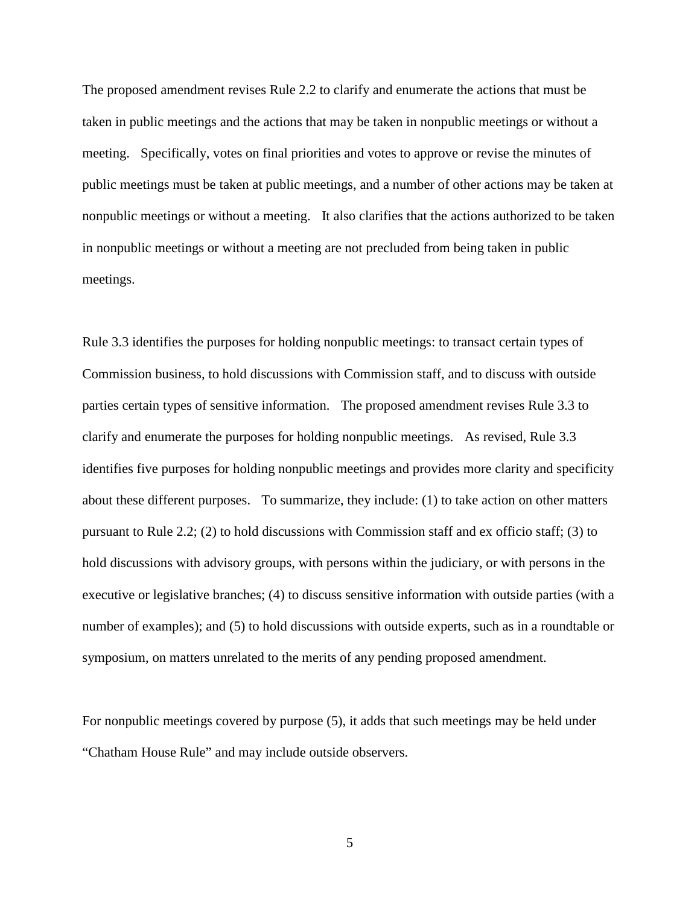The proposed amendment revises Rule 2.2 to clarify and enumerate the actions that must be taken in public meetings and the actions that may be taken in nonpublic meetings or without a meeting. Specifically, votes on final priorities and votes to approve or revise the minutes of public meetings must be taken at public meetings, and a number of other actions may be taken at nonpublic meetings or without a meeting. It also clarifies that the actions authorized to be taken in nonpublic meetings or without a meeting are not precluded from being taken in public meetings.

Rule 3.3 identifies the purposes for holding nonpublic meetings: to transact certain types of Commission business, to hold discussions with Commission staff, and to discuss with outside parties certain types of sensitive information. The proposed amendment revises Rule 3.3 to clarify and enumerate the purposes for holding nonpublic meetings. As revised, Rule 3.3 identifies five purposes for holding nonpublic meetings and provides more clarity and specificity about these different purposes. To summarize, they include: (1) to take action on other matters pursuant to Rule 2.2; (2) to hold discussions with Commission staff and ex officio staff; (3) to hold discussions with advisory groups, with persons within the judiciary, or with persons in the executive or legislative branches; (4) to discuss sensitive information with outside parties (with a number of examples); and (5) to hold discussions with outside experts, such as in a roundtable or symposium, on matters unrelated to the merits of any pending proposed amendment.

For nonpublic meetings covered by purpose (5), it adds that such meetings may be held under "Chatham House Rule" and may include outside observers.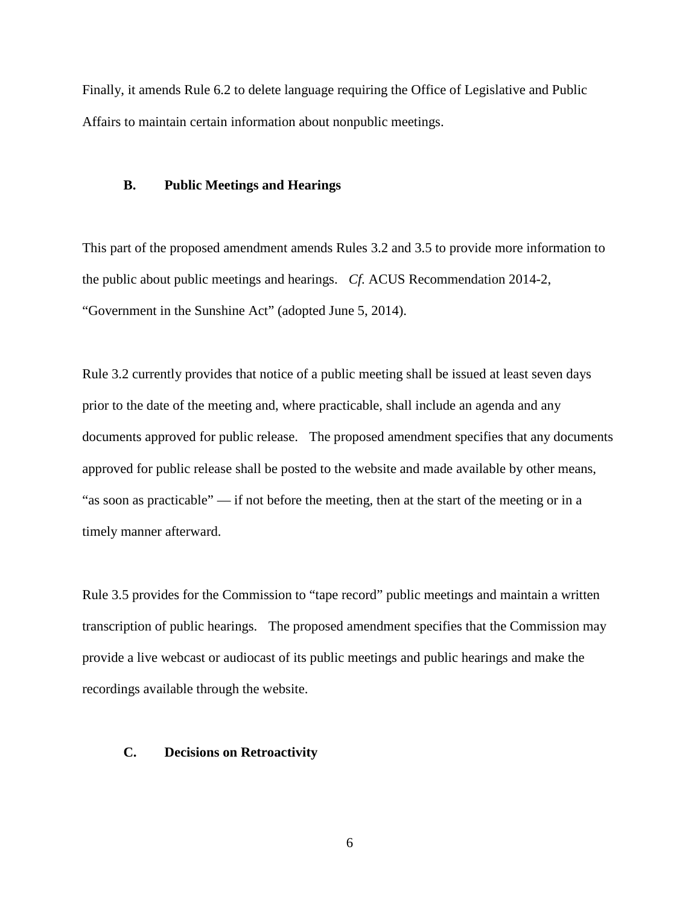Finally, it amends Rule 6.2 to delete language requiring the Office of Legislative and Public Affairs to maintain certain information about nonpublic meetings.

### **B. Public Meetings and Hearings**

This part of the proposed amendment amends Rules 3.2 and 3.5 to provide more information to the public about public meetings and hearings. *Cf.* ACUS Recommendation 2014-2, "Government in the Sunshine Act" (adopted June 5, 2014).

Rule 3.2 currently provides that notice of a public meeting shall be issued at least seven days prior to the date of the meeting and, where practicable, shall include an agenda and any documents approved for public release. The proposed amendment specifies that any documents approved for public release shall be posted to the website and made available by other means, "as soon as practicable" — if not before the meeting, then at the start of the meeting or in a timely manner afterward.

Rule 3.5 provides for the Commission to "tape record" public meetings and maintain a written transcription of public hearings. The proposed amendment specifies that the Commission may provide a live webcast or audiocast of its public meetings and public hearings and make the recordings available through the website.

## **C. Decisions on Retroactivity**

6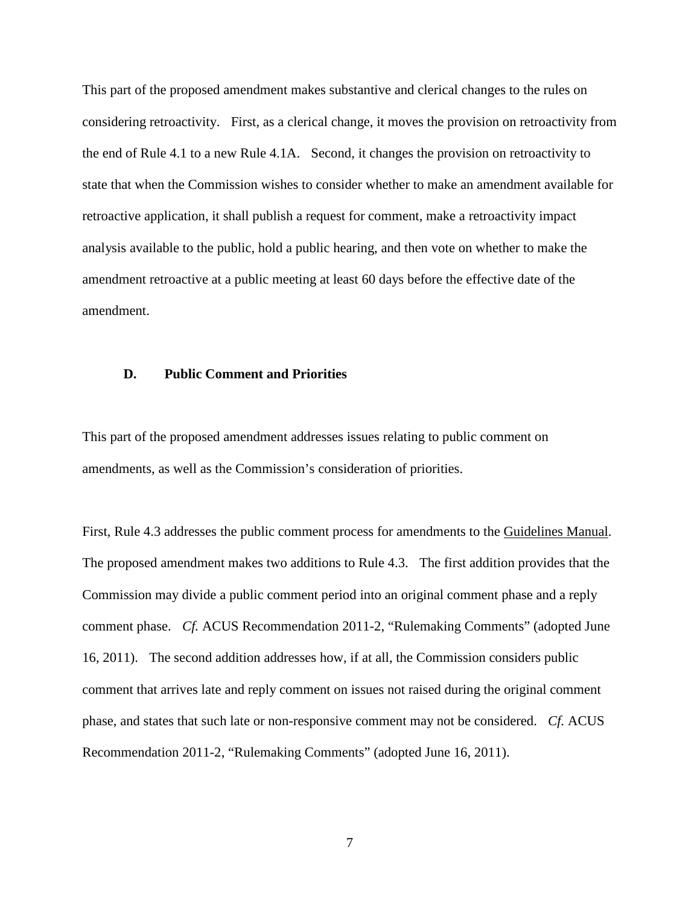This part of the proposed amendment makes substantive and clerical changes to the rules on considering retroactivity. First, as a clerical change, it moves the provision on retroactivity from the end of Rule 4.1 to a new Rule 4.1A. Second, it changes the provision on retroactivity to state that when the Commission wishes to consider whether to make an amendment available for retroactive application, it shall publish a request for comment, make a retroactivity impact analysis available to the public, hold a public hearing, and then vote on whether to make the amendment retroactive at a public meeting at least 60 days before the effective date of the amendment.

### **D. Public Comment and Priorities**

This part of the proposed amendment addresses issues relating to public comment on amendments, as well as the Commission's consideration of priorities.

First, Rule 4.3 addresses the public comment process for amendments to the Guidelines Manual. The proposed amendment makes two additions to Rule 4.3. The first addition provides that the Commission may divide a public comment period into an original comment phase and a reply comment phase. *Cf.* ACUS Recommendation 2011-2, "Rulemaking Comments" (adopted June 16, 2011). The second addition addresses how, if at all, the Commission considers public comment that arrives late and reply comment on issues not raised during the original comment phase, and states that such late or non-responsive comment may not be considered. *Cf.* ACUS Recommendation 2011-2, "Rulemaking Comments" (adopted June 16, 2011).

7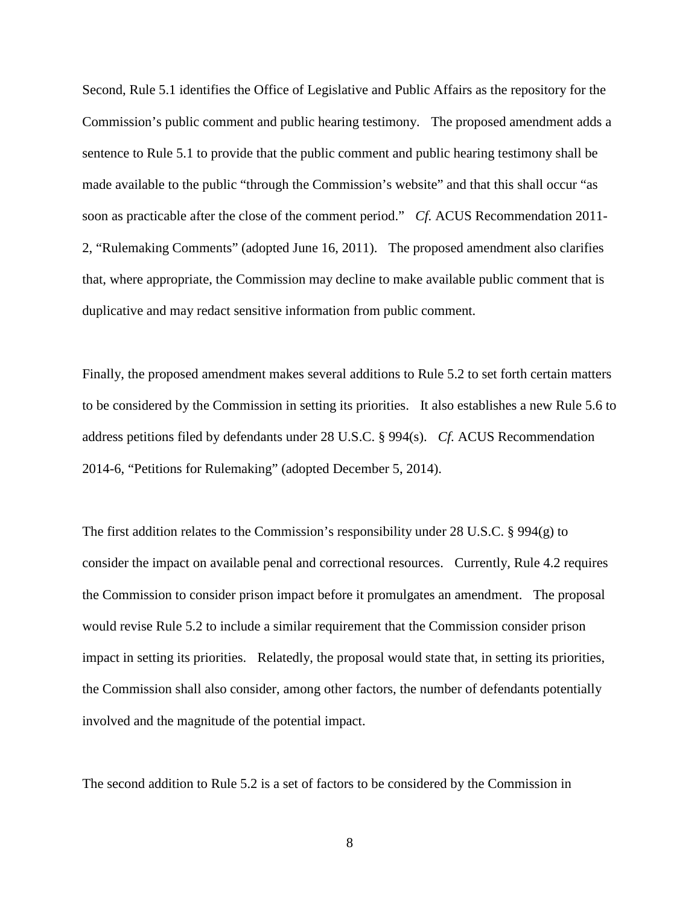Second, Rule 5.1 identifies the Office of Legislative and Public Affairs as the repository for the Commission's public comment and public hearing testimony. The proposed amendment adds a sentence to Rule 5.1 to provide that the public comment and public hearing testimony shall be made available to the public "through the Commission's website" and that this shall occur "as soon as practicable after the close of the comment period." *Cf.* ACUS Recommendation 2011- 2, "Rulemaking Comments" (adopted June 16, 2011). The proposed amendment also clarifies that, where appropriate, the Commission may decline to make available public comment that is duplicative and may redact sensitive information from public comment.

Finally, the proposed amendment makes several additions to Rule 5.2 to set forth certain matters to be considered by the Commission in setting its priorities. It also establishes a new Rule 5.6 to address petitions filed by defendants under 28 U.S.C. § 994(s). *Cf.* ACUS Recommendation 2014-6, "Petitions for Rulemaking" (adopted December 5, 2014).

The first addition relates to the Commission's responsibility under 28 U.S.C. § 994(g) to consider the impact on available penal and correctional resources. Currently, Rule 4.2 requires the Commission to consider prison impact before it promulgates an amendment. The proposal would revise Rule 5.2 to include a similar requirement that the Commission consider prison impact in setting its priorities. Relatedly, the proposal would state that, in setting its priorities, the Commission shall also consider, among other factors, the number of defendants potentially involved and the magnitude of the potential impact.

The second addition to Rule 5.2 is a set of factors to be considered by the Commission in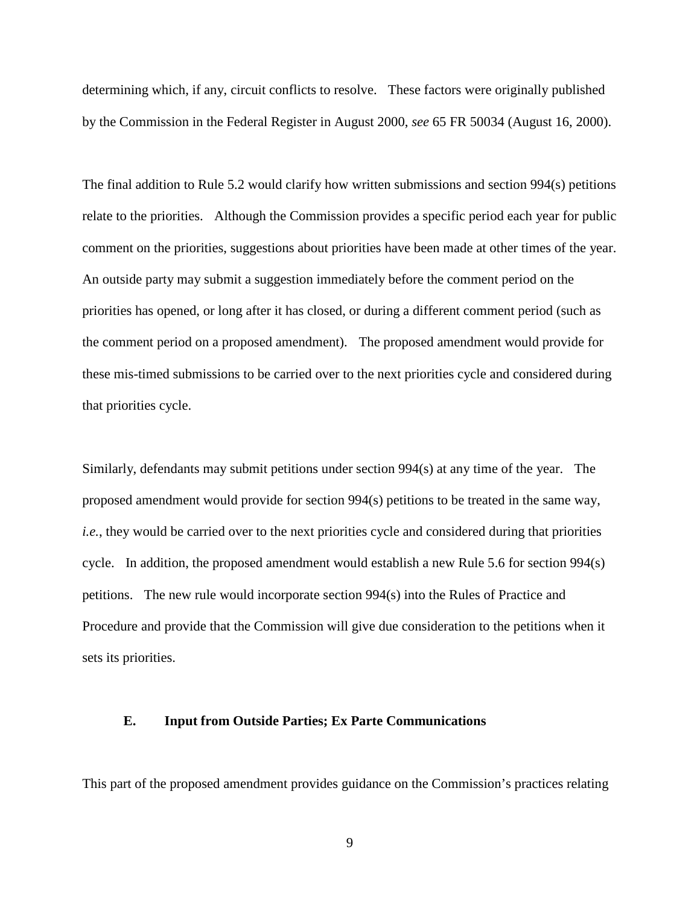determining which, if any, circuit conflicts to resolve. These factors were originally published by the Commission in the Federal Register in August 2000, *see* 65 FR 50034 (August 16, 2000).

The final addition to Rule 5.2 would clarify how written submissions and section 994(s) petitions relate to the priorities. Although the Commission provides a specific period each year for public comment on the priorities, suggestions about priorities have been made at other times of the year. An outside party may submit a suggestion immediately before the comment period on the priorities has opened, or long after it has closed, or during a different comment period (such as the comment period on a proposed amendment). The proposed amendment would provide for these mis-timed submissions to be carried over to the next priorities cycle and considered during that priorities cycle.

Similarly, defendants may submit petitions under section 994(s) at any time of the year. The proposed amendment would provide for section 994(s) petitions to be treated in the same way, *i.e.*, they would be carried over to the next priorities cycle and considered during that priorities cycle. In addition, the proposed amendment would establish a new Rule 5.6 for section 994(s) petitions. The new rule would incorporate section 994(s) into the Rules of Practice and Procedure and provide that the Commission will give due consideration to the petitions when it sets its priorities.

## **E. Input from Outside Parties; Ex Parte Communications**

This part of the proposed amendment provides guidance on the Commission's practices relating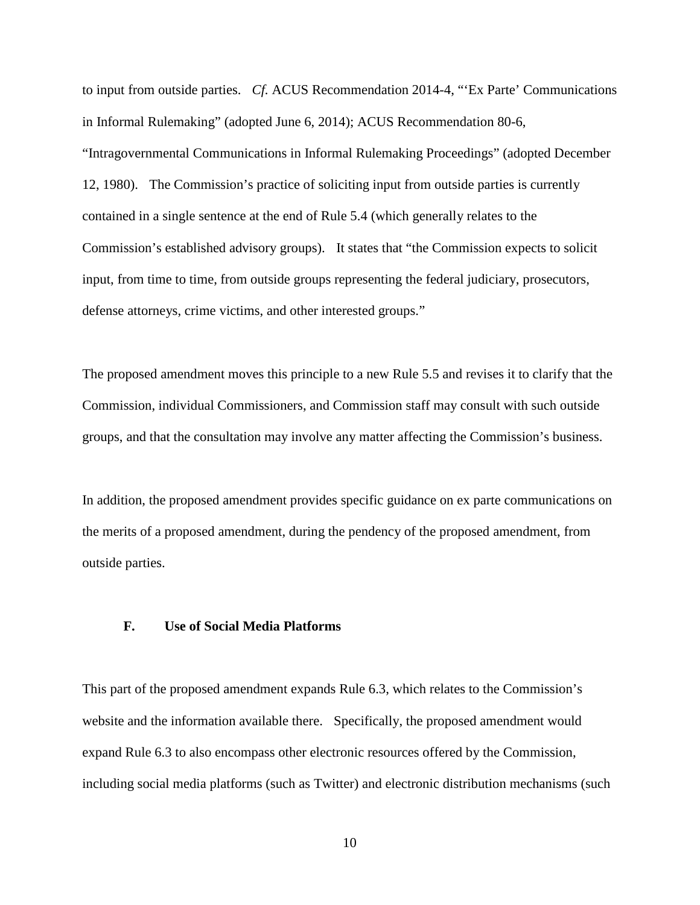to input from outside parties. *Cf.* ACUS Recommendation 2014-4, "'Ex Parte' Communications in Informal Rulemaking" (adopted June 6, 2014); ACUS Recommendation 80-6, "Intragovernmental Communications in Informal Rulemaking Proceedings" (adopted December 12, 1980). The Commission's practice of soliciting input from outside parties is currently contained in a single sentence at the end of Rule 5.4 (which generally relates to the Commission's established advisory groups). It states that "the Commission expects to solicit input, from time to time, from outside groups representing the federal judiciary, prosecutors, defense attorneys, crime victims, and other interested groups."

The proposed amendment moves this principle to a new Rule 5.5 and revises it to clarify that the Commission, individual Commissioners, and Commission staff may consult with such outside groups, and that the consultation may involve any matter affecting the Commission's business.

In addition, the proposed amendment provides specific guidance on ex parte communications on the merits of a proposed amendment, during the pendency of the proposed amendment, from outside parties.

### **F. Use of Social Media Platforms**

This part of the proposed amendment expands Rule 6.3, which relates to the Commission's website and the information available there. Specifically, the proposed amendment would expand Rule 6.3 to also encompass other electronic resources offered by the Commission, including social media platforms (such as Twitter) and electronic distribution mechanisms (such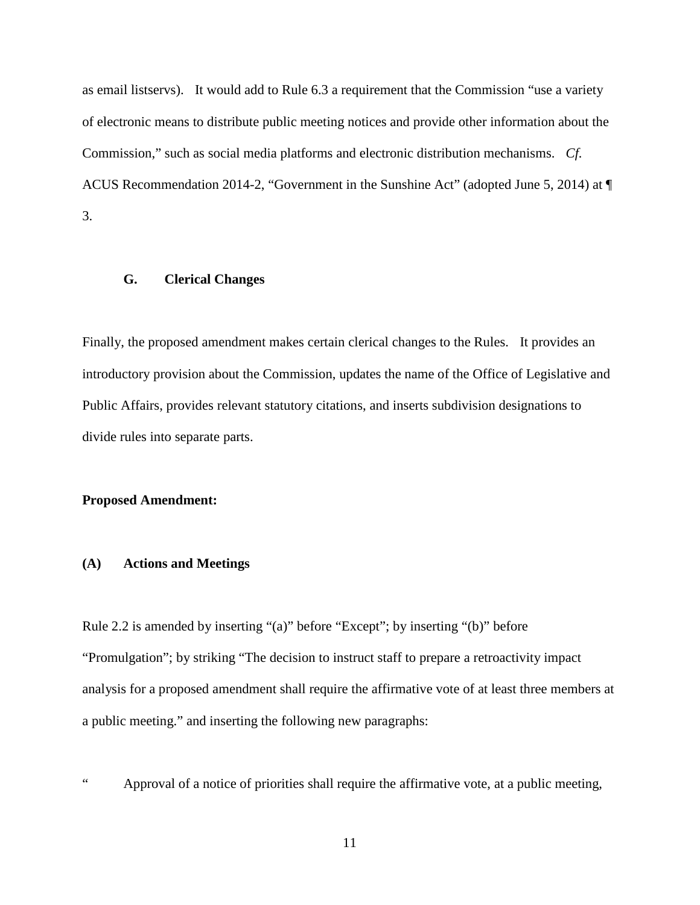as email listservs). It would add to Rule 6.3 a requirement that the Commission "use a variety of electronic means to distribute public meeting notices and provide other information about the Commission," such as social media platforms and electronic distribution mechanisms. *Cf.* ACUS Recommendation 2014-2, "Government in the Sunshine Act" (adopted June 5, 2014) at ¶ 3.

### **G. Clerical Changes**

Finally, the proposed amendment makes certain clerical changes to the Rules. It provides an introductory provision about the Commission, updates the name of the Office of Legislative and Public Affairs, provides relevant statutory citations, and inserts subdivision designations to divide rules into separate parts.

### **Proposed Amendment:**

### **(A) Actions and Meetings**

Rule 2.2 is amended by inserting "(a)" before "Except"; by inserting "(b)" before "Promulgation"; by striking "The decision to instruct staff to prepare a retroactivity impact analysis for a proposed amendment shall require the affirmative vote of at least three members at a public meeting." and inserting the following new paragraphs:

" Approval of a notice of priorities shall require the affirmative vote, at a public meeting,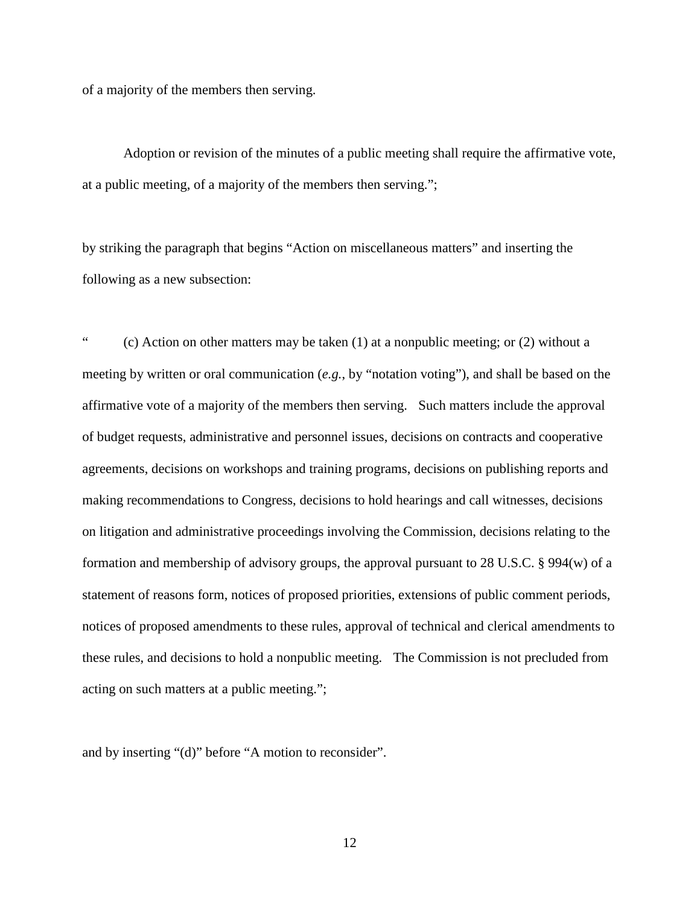of a majority of the members then serving.

Adoption or revision of the minutes of a public meeting shall require the affirmative vote, at a public meeting, of a majority of the members then serving.";

by striking the paragraph that begins "Action on miscellaneous matters" and inserting the following as a new subsection:

" (c) Action on other matters may be taken (1) at a nonpublic meeting; or (2) without a meeting by written or oral communication (*e.g.*, by "notation voting"), and shall be based on the affirmative vote of a majority of the members then serving. Such matters include the approval of budget requests, administrative and personnel issues, decisions on contracts and cooperative agreements, decisions on workshops and training programs, decisions on publishing reports and making recommendations to Congress, decisions to hold hearings and call witnesses, decisions on litigation and administrative proceedings involving the Commission, decisions relating to the formation and membership of advisory groups, the approval pursuant to 28 U.S.C. § 994(w) of a statement of reasons form, notices of proposed priorities, extensions of public comment periods, notices of proposed amendments to these rules, approval of technical and clerical amendments to these rules, and decisions to hold a nonpublic meeting. The Commission is not precluded from acting on such matters at a public meeting.";

and by inserting "(d)" before "A motion to reconsider".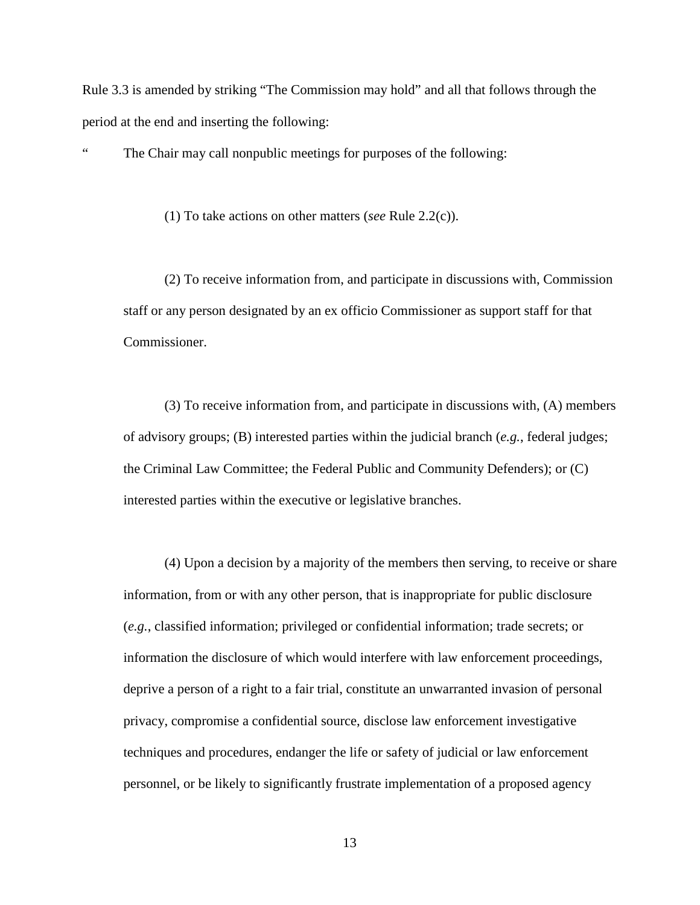Rule 3.3 is amended by striking "The Commission may hold" and all that follows through the period at the end and inserting the following:

The Chair may call nonpublic meetings for purposes of the following:

(1) To take actions on other matters (*see* Rule 2.2(c)).

(2) To receive information from, and participate in discussions with, Commission staff or any person designated by an ex officio Commissioner as support staff for that Commissioner.

(3) To receive information from, and participate in discussions with, (A) members of advisory groups; (B) interested parties within the judicial branch (*e.g.*, federal judges; the Criminal Law Committee; the Federal Public and Community Defenders); or (C) interested parties within the executive or legislative branches.

(4) Upon a decision by a majority of the members then serving, to receive or share information, from or with any other person, that is inappropriate for public disclosure (*e.g.*, classified information; privileged or confidential information; trade secrets; or information the disclosure of which would interfere with law enforcement proceedings, deprive a person of a right to a fair trial, constitute an unwarranted invasion of personal privacy, compromise a confidential source, disclose law enforcement investigative techniques and procedures, endanger the life or safety of judicial or law enforcement personnel, or be likely to significantly frustrate implementation of a proposed agency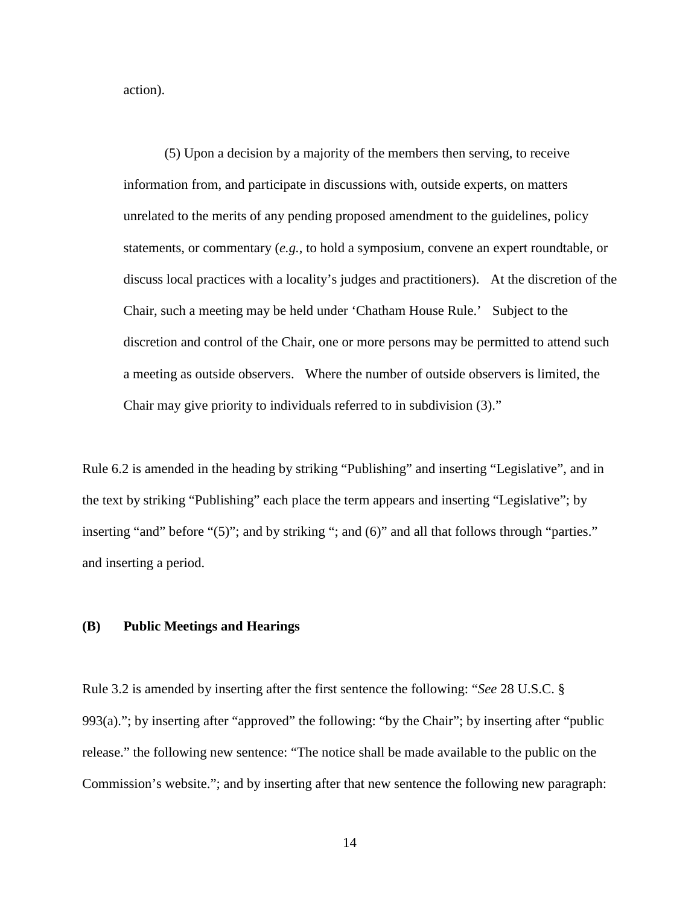action).

(5) Upon a decision by a majority of the members then serving, to receive information from, and participate in discussions with, outside experts, on matters unrelated to the merits of any pending proposed amendment to the guidelines, policy statements, or commentary (*e.g.*, to hold a symposium, convene an expert roundtable, or discuss local practices with a locality's judges and practitioners). At the discretion of the Chair, such a meeting may be held under 'Chatham House Rule.' Subject to the discretion and control of the Chair, one or more persons may be permitted to attend such a meeting as outside observers. Where the number of outside observers is limited, the Chair may give priority to individuals referred to in subdivision (3)."

Rule 6.2 is amended in the heading by striking "Publishing" and inserting "Legislative", and in the text by striking "Publishing" each place the term appears and inserting "Legislative"; by inserting "and" before "(5)"; and by striking "; and (6)" and all that follows through "parties." and inserting a period.

## **(B) Public Meetings and Hearings**

Rule 3.2 is amended by inserting after the first sentence the following: "*See* 28 U.S.C. § 993(a)."; by inserting after "approved" the following: "by the Chair"; by inserting after "public release." the following new sentence: "The notice shall be made available to the public on the Commission's website."; and by inserting after that new sentence the following new paragraph: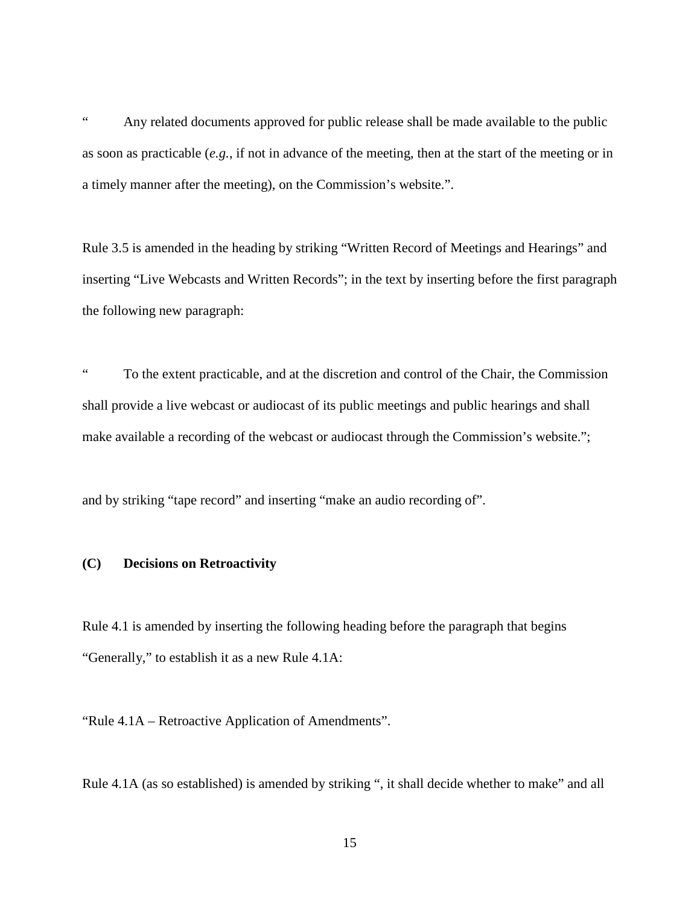" Any related documents approved for public release shall be made available to the public as soon as practicable (*e.g.*, if not in advance of the meeting, then at the start of the meeting or in a timely manner after the meeting), on the Commission's website.".

Rule 3.5 is amended in the heading by striking "Written Record of Meetings and Hearings" and inserting "Live Webcasts and Written Records"; in the text by inserting before the first paragraph the following new paragraph:

" To the extent practicable, and at the discretion and control of the Chair, the Commission shall provide a live webcast or audiocast of its public meetings and public hearings and shall make available a recording of the webcast or audiocast through the Commission's website.";

and by striking "tape record" and inserting "make an audio recording of".

# **(C) Decisions on Retroactivity**

Rule 4.1 is amended by inserting the following heading before the paragraph that begins "Generally," to establish it as a new Rule 4.1A:

"Rule 4.1A – Retroactive Application of Amendments".

Rule 4.1A (as so established) is amended by striking ", it shall decide whether to make" and all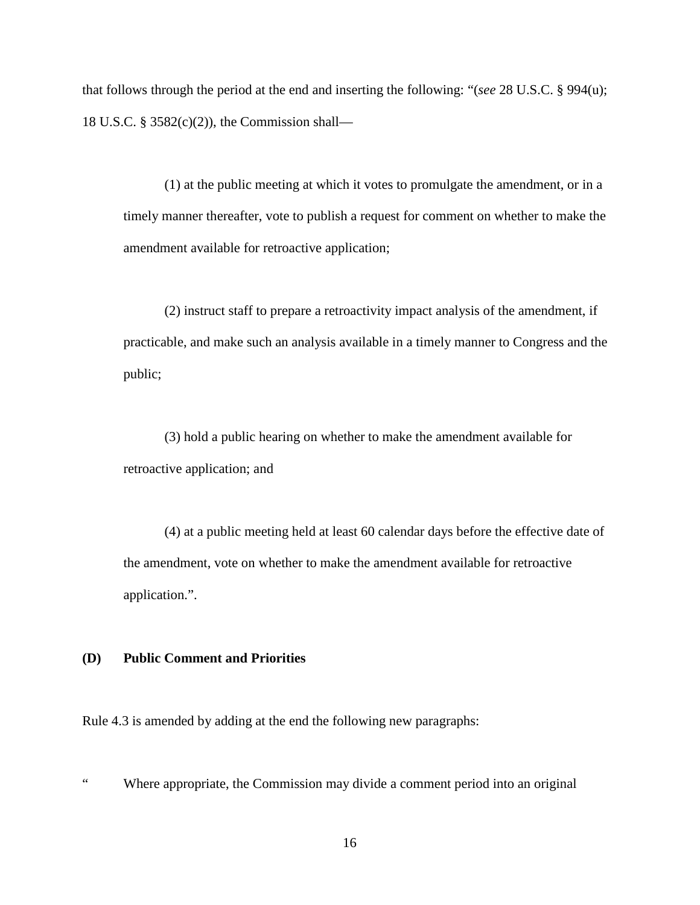that follows through the period at the end and inserting the following: "(*see* 28 U.S.C. § 994(u); 18 U.S.C. § 3582(c)(2)), the Commission shall—

(1) at the public meeting at which it votes to promulgate the amendment, or in a timely manner thereafter, vote to publish a request for comment on whether to make the amendment available for retroactive application;

(2) instruct staff to prepare a retroactivity impact analysis of the amendment, if practicable, and make such an analysis available in a timely manner to Congress and the public;

(3) hold a public hearing on whether to make the amendment available for retroactive application; and

(4) at a public meeting held at least 60 calendar days before the effective date of the amendment, vote on whether to make the amendment available for retroactive application.".

# **(D) Public Comment and Priorities**

Rule 4.3 is amended by adding at the end the following new paragraphs:

" Where appropriate, the Commission may divide a comment period into an original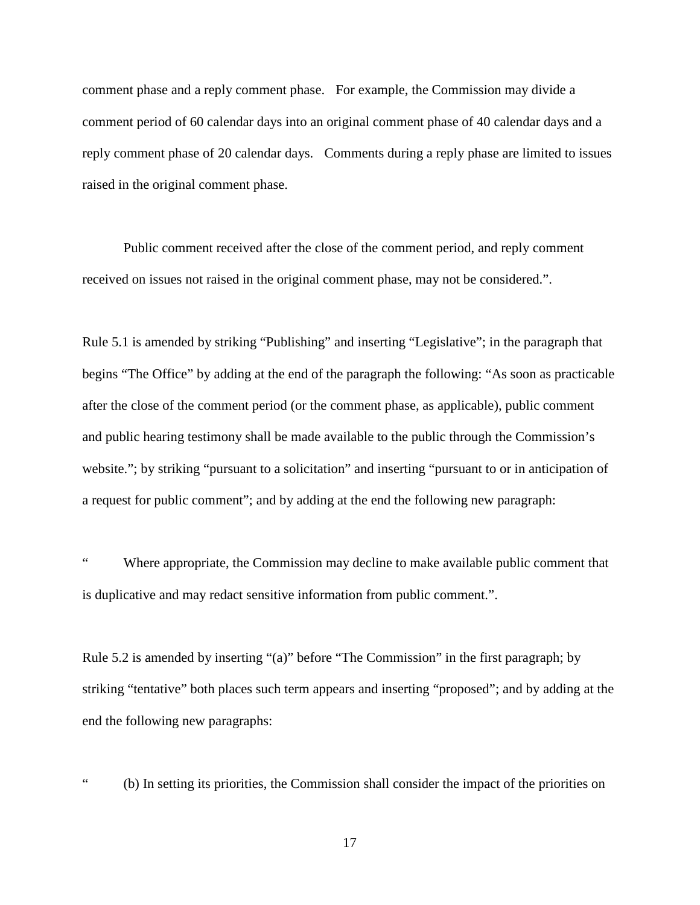comment phase and a reply comment phase. For example, the Commission may divide a comment period of 60 calendar days into an original comment phase of 40 calendar days and a reply comment phase of 20 calendar days. Comments during a reply phase are limited to issues raised in the original comment phase.

Public comment received after the close of the comment period, and reply comment received on issues not raised in the original comment phase, may not be considered.".

Rule 5.1 is amended by striking "Publishing" and inserting "Legislative"; in the paragraph that begins "The Office" by adding at the end of the paragraph the following: "As soon as practicable after the close of the comment period (or the comment phase, as applicable), public comment and public hearing testimony shall be made available to the public through the Commission's website."; by striking "pursuant to a solicitation" and inserting "pursuant to or in anticipation of a request for public comment"; and by adding at the end the following new paragraph:

Where appropriate, the Commission may decline to make available public comment that is duplicative and may redact sensitive information from public comment.".

Rule 5.2 is amended by inserting "(a)" before "The Commission" in the first paragraph; by striking "tentative" both places such term appears and inserting "proposed"; and by adding at the end the following new paragraphs:

" (b) In setting its priorities, the Commission shall consider the impact of the priorities on

17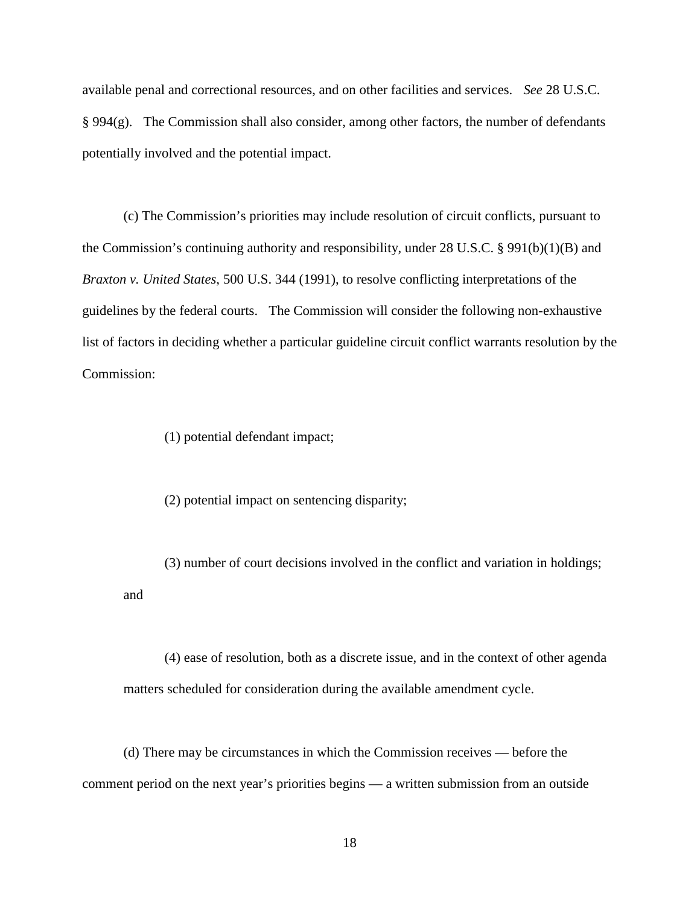available penal and correctional resources, and on other facilities and services. *See* 28 U.S.C. § 994(g). The Commission shall also consider, among other factors, the number of defendants potentially involved and the potential impact.

(c) The Commission's priorities may include resolution of circuit conflicts, pursuant to the Commission's continuing authority and responsibility, under 28 U.S.C. § 991(b)(1)(B) and *Braxton v. United States*, 500 U.S. 344 (1991), to resolve conflicting interpretations of the guidelines by the federal courts. The Commission will consider the following non-exhaustive list of factors in deciding whether a particular guideline circuit conflict warrants resolution by the Commission:

(1) potential defendant impact;

(2) potential impact on sentencing disparity;

(3) number of court decisions involved in the conflict and variation in holdings; and

(4) ease of resolution, both as a discrete issue, and in the context of other agenda matters scheduled for consideration during the available amendment cycle.

(d) There may be circumstances in which the Commission receives — before the comment period on the next year's priorities begins — a written submission from an outside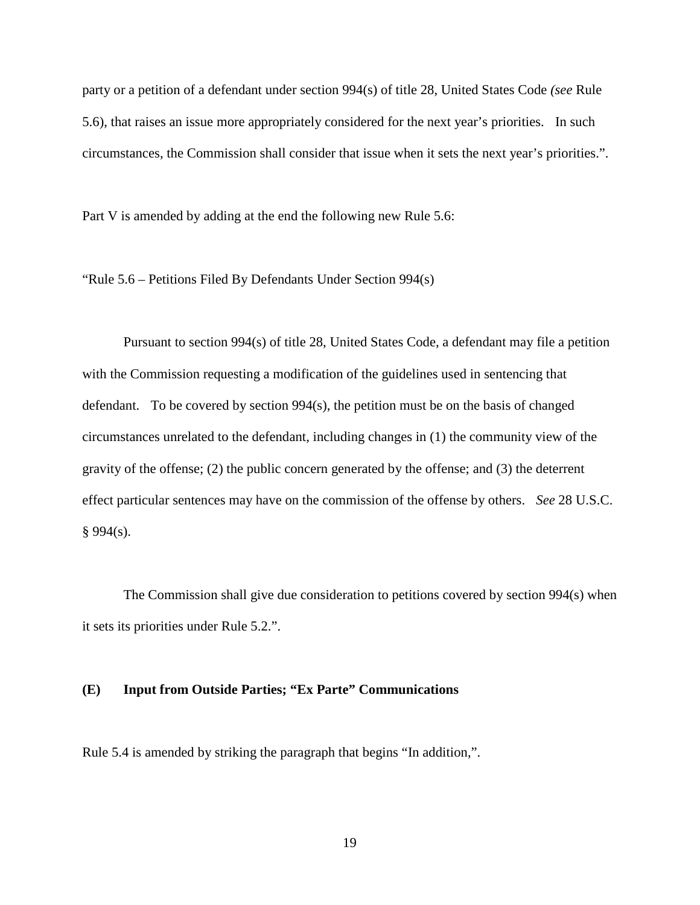party or a petition of a defendant under section 994(s) of title 28, United States Code *(see* Rule 5.6), that raises an issue more appropriately considered for the next year's priorities. In such circumstances, the Commission shall consider that issue when it sets the next year's priorities.".

Part V is amended by adding at the end the following new Rule 5.6:

"Rule 5.6 – Petitions Filed By Defendants Under Section 994(s)

Pursuant to section 994(s) of title 28, United States Code, a defendant may file a petition with the Commission requesting a modification of the guidelines used in sentencing that defendant. To be covered by section 994(s), the petition must be on the basis of changed circumstances unrelated to the defendant, including changes in (1) the community view of the gravity of the offense; (2) the public concern generated by the offense; and (3) the deterrent effect particular sentences may have on the commission of the offense by others. *See* 28 U.S.C.  $§ 994(s).$ 

The Commission shall give due consideration to petitions covered by section 994(s) when it sets its priorities under Rule 5.2.".

#### **(E) Input from Outside Parties; "Ex Parte" Communications**

Rule 5.4 is amended by striking the paragraph that begins "In addition,".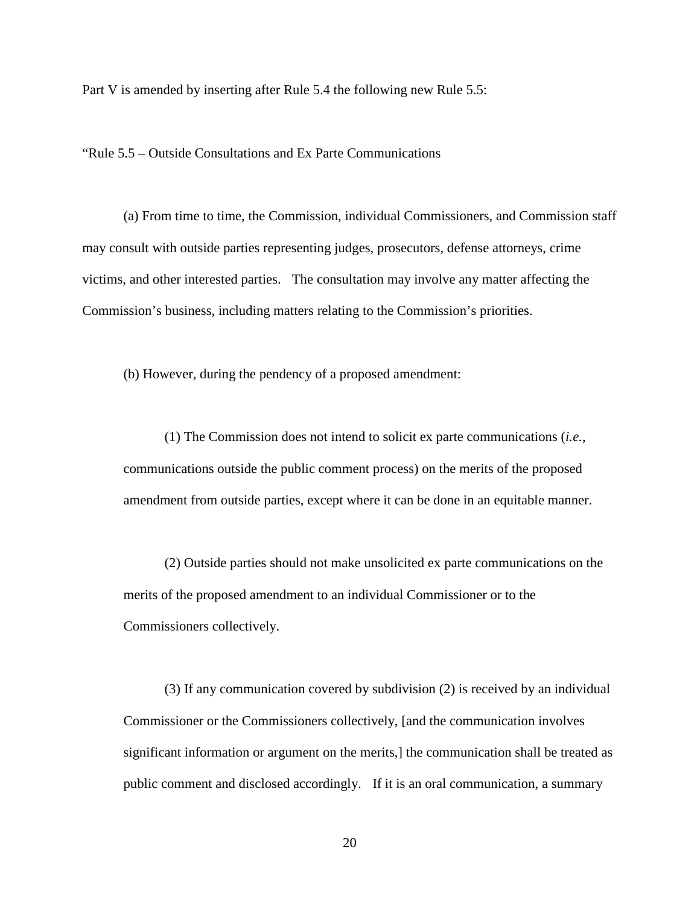Part V is amended by inserting after Rule 5.4 the following new Rule 5.5:

"Rule 5.5 – Outside Consultations and Ex Parte Communications

(a) From time to time, the Commission, individual Commissioners, and Commission staff may consult with outside parties representing judges, prosecutors, defense attorneys, crime victims, and other interested parties. The consultation may involve any matter affecting the Commission's business, including matters relating to the Commission's priorities.

(b) However, during the pendency of a proposed amendment:

(1) The Commission does not intend to solicit ex parte communications (*i.e.*, communications outside the public comment process) on the merits of the proposed amendment from outside parties, except where it can be done in an equitable manner.

(2) Outside parties should not make unsolicited ex parte communications on the merits of the proposed amendment to an individual Commissioner or to the Commissioners collectively.

(3) If any communication covered by subdivision (2) is received by an individual Commissioner or the Commissioners collectively, [and the communication involves significant information or argument on the merits,] the communication shall be treated as public comment and disclosed accordingly. If it is an oral communication, a summary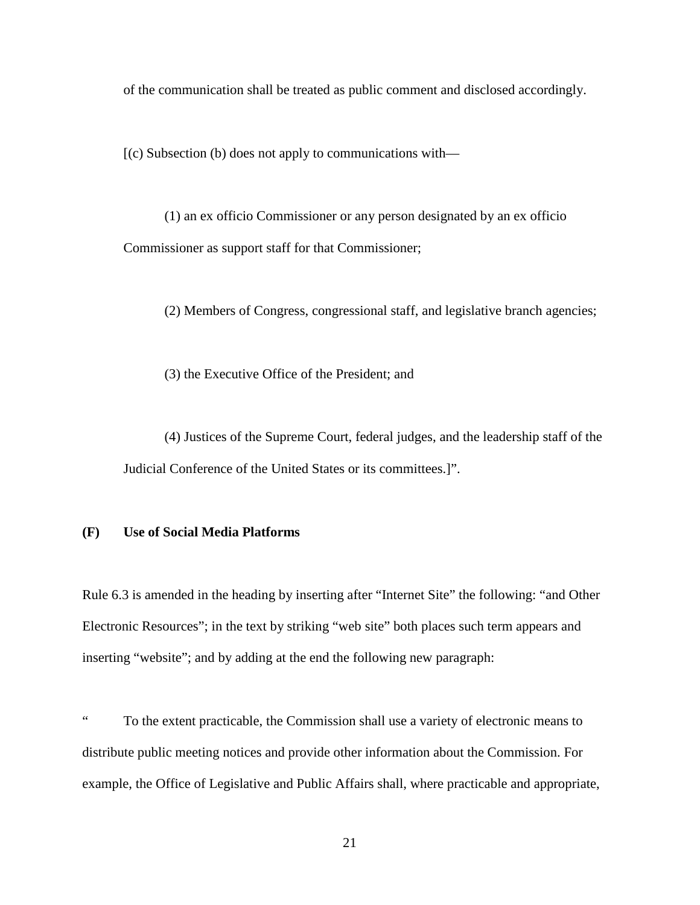of the communication shall be treated as public comment and disclosed accordingly.

 $[(c)$  Subsection (b) does not apply to communications with—

(1) an ex officio Commissioner or any person designated by an ex officio Commissioner as support staff for that Commissioner;

(2) Members of Congress, congressional staff, and legislative branch agencies;

(3) the Executive Office of the President; and

(4) Justices of the Supreme Court, federal judges, and the leadership staff of the Judicial Conference of the United States or its committees.]".

# **(F) Use of Social Media Platforms**

Rule 6.3 is amended in the heading by inserting after "Internet Site" the following: "and Other Electronic Resources"; in the text by striking "web site" both places such term appears and inserting "website"; and by adding at the end the following new paragraph:

" To the extent practicable, the Commission shall use a variety of electronic means to distribute public meeting notices and provide other information about the Commission. For example, the Office of Legislative and Public Affairs shall, where practicable and appropriate,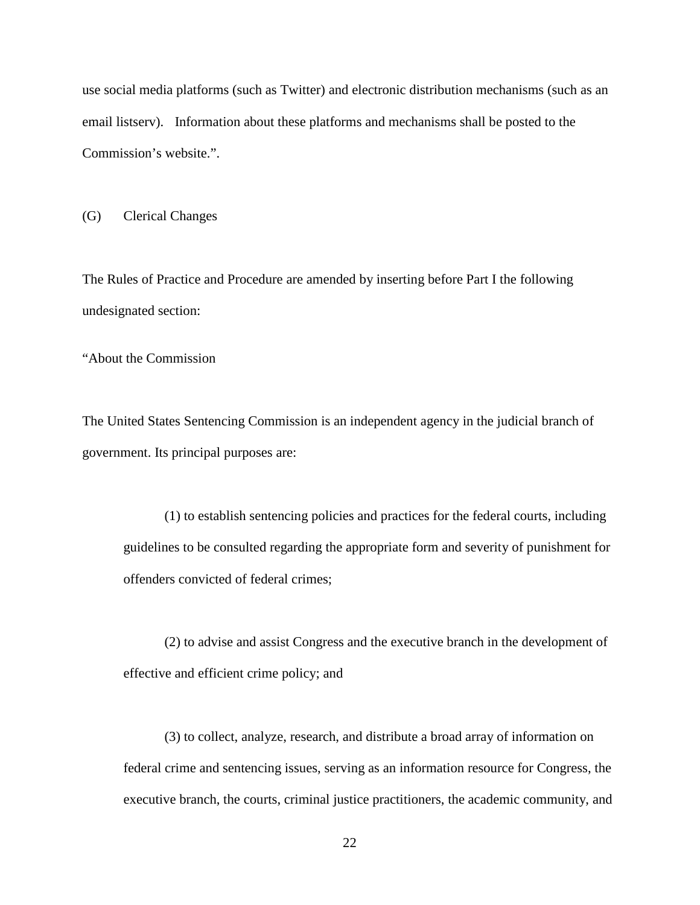use social media platforms (such as Twitter) and electronic distribution mechanisms (such as an email listserv). Information about these platforms and mechanisms shall be posted to the Commission's website.".

(G) Clerical Changes

The Rules of Practice and Procedure are amended by inserting before Part I the following undesignated section:

"About the Commission

The United States Sentencing Commission is an independent agency in the judicial branch of government. Its principal purposes are:

(1) to establish sentencing policies and practices for the federal courts, including guidelines to be consulted regarding the appropriate form and severity of punishment for offenders convicted of federal crimes;

(2) to advise and assist Congress and the executive branch in the development of effective and efficient crime policy; and

(3) to collect, analyze, research, and distribute a broad array of information on federal crime and sentencing issues, serving as an information resource for Congress, the executive branch, the courts, criminal justice practitioners, the academic community, and